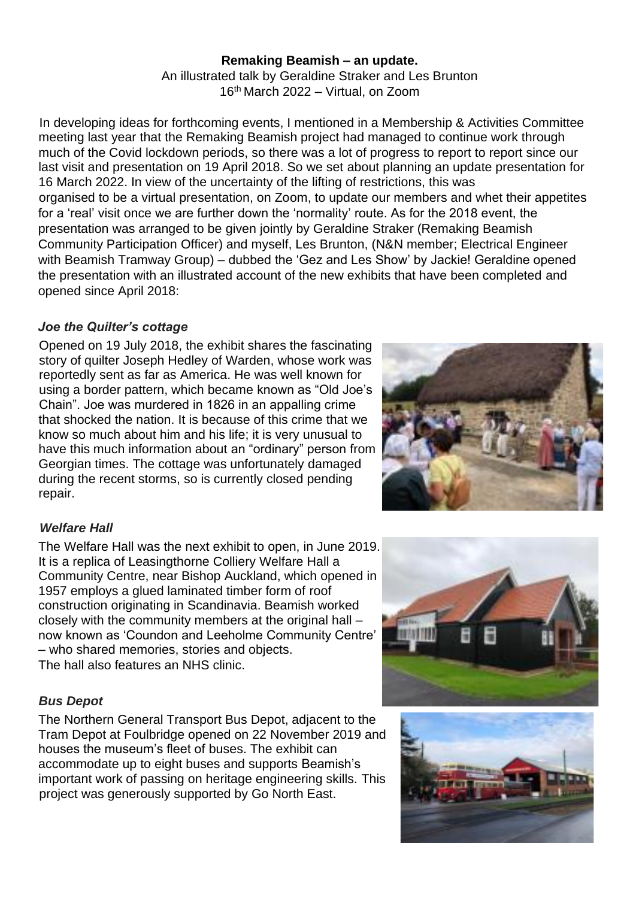#### **Remaking Beamish – an update.**

An illustrated talk by Geraldine Straker and Les Brunton 16th March 2022 – Virtual, on Zoom

In developing ideas for forthcoming events, I mentioned in a Membership & Activities Committee meeting last year that the Remaking Beamish project had managed to continue work through much of the Covid lockdown periods, so there was a lot of progress to report to report since our last visit and presentation on 19 April 2018. So we set about planning an update presentation for 16 March 2022. In view of the uncertainty of the lifting of restrictions, this was organised to be a virtual presentation, on Zoom, to update our members and whet their appetites for a 'real' visit once we are further down the 'normality' route. As for the 2018 event, the presentation was arranged to be given jointly by Geraldine Straker (Remaking Beamish Community Participation Officer) and myself, Les Brunton, (N&N member; Electrical Engineer with Beamish Tramway Group) – dubbed the 'Gez and Les Show' by Jackie! Geraldine opened the presentation with an illustrated account of the new exhibits that have been completed and opened since April 2018:

#### *Joe the Quilter's cottage*

Opened on 19 July 2018, the exhibit shares the fascinating story of quilter Joseph Hedley of Warden, whose work was reportedly sent as far as America. He was well known for using a border pattern, which became known as "Old Joe's Chain". Joe was murdered in 1826 in an appalling crime that shocked the nation. It is because of this crime that we know so much about him and his life; it is very unusual to have this much information about an "ordinary" person from Georgian times. The cottage was unfortunately damaged during the recent storms, so is currently closed pending repair.

### *Welfare Hall*

The Welfare Hall was the next exhibit to open, in June 2019. It is a replica of Leasingthorne Colliery Welfare Hall a Community Centre, near Bishop Auckland, which opened in 1957 employs a glued laminated timber form of roof construction originating in Scandinavia. Beamish worked closely with the community members at the original hall – now known as 'Coundon and Leeholme Community Centre' – who shared memories, stories and objects. The hall also features an NHS clinic.

### *Bus Depot*

The Northern General Transport Bus Depot, adjacent to the Tram Depot at Foulbridge opened on 22 November 2019 and houses the museum's fleet of buses. The exhibit can accommodate up to eight buses and supports Beamish's important work of passing on heritage engineering skills. This project was generously supported by Go North East.





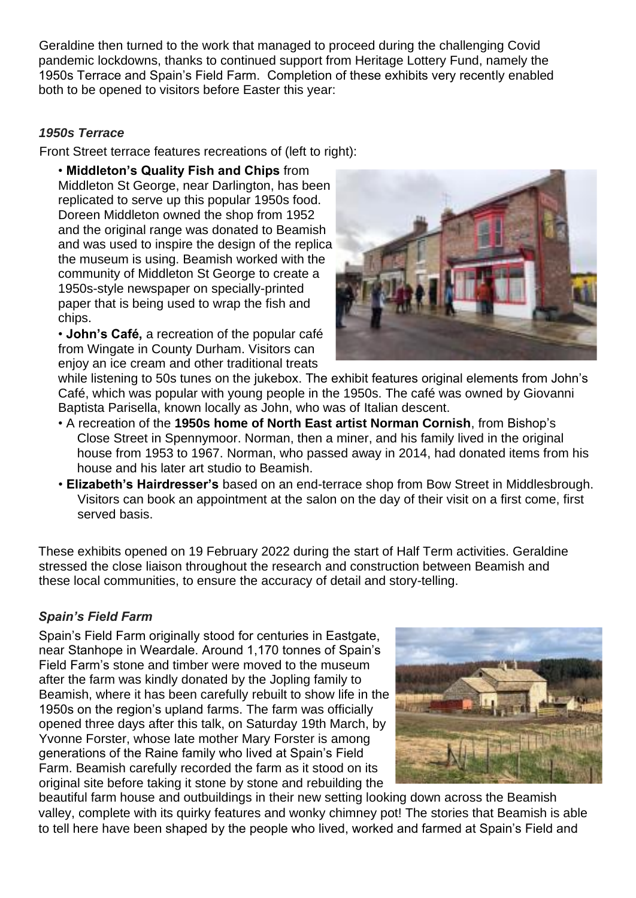Geraldine then turned to the work that managed to proceed during the challenging Covid pandemic lockdowns, thanks to continued support from Heritage Lottery Fund, namely the 1950s Terrace and Spain's Field Farm. Completion of these exhibits very recently enabled both to be opened to visitors before Easter this year:

## *1950s Terrace*

Front Street terrace features recreations of (left to right):

• **Middleton's Quality Fish and Chips** from Middleton St George, near Darlington, has been replicated to serve up this popular 1950s food. Doreen Middleton owned the shop from 1952 and the original range was donated to Beamish and was used to inspire the design of the replica the museum is using. Beamish worked with the community of Middleton St George to create a 1950s-style newspaper on specially-printed paper that is being used to wrap the fish and chips.

• **John's Café,** a recreation of the popular café from Wingate in County Durham. Visitors can enjoy an ice cream and other traditional treats



while listening to 50s tunes on the jukebox. The exhibit features original elements from John's Café, which was popular with young people in the 1950s. The café was owned by Giovanni Baptista Parisella, known locally as John, who was of Italian descent.

- A recreation of the **1950s home of North East artist Norman Cornish**, from Bishop's Close Street in Spennymoor. Norman, then a miner, and his family lived in the original house from 1953 to 1967. Norman, who passed away in 2014, had donated items from his house and his later art studio to Beamish.
- **Elizabeth's Hairdresser's** based on an end-terrace shop from Bow Street in Middlesbrough. Visitors can book an appointment at the salon on the day of their visit on a first come, first served basis.

These exhibits opened on 19 February 2022 during the start of Half Term activities. Geraldine stressed the close liaison throughout the research and construction between Beamish and these local communities, to ensure the accuracy of detail and story-telling.

# *Spain's Field Farm*

Spain's Field Farm originally stood for centuries in Eastgate, near Stanhope in Weardale. Around 1,170 tonnes of Spain's Field Farm's stone and timber were moved to the museum after the farm was kindly donated by the Jopling family to Beamish, where it has been carefully rebuilt to show life in the 1950s on the region's upland farms. The farm was officially opened three days after this talk, on Saturday 19th March, by Yvonne Forster, whose late mother Mary Forster is among generations of the Raine family who lived at Spain's Field Farm. Beamish carefully recorded the farm as it stood on its original site before taking it stone by stone and rebuilding the



beautiful farm house and outbuildings in their new setting looking down across the Beamish valley, complete with its quirky features and wonky chimney pot! The stories that Beamish is able to tell here have been shaped by the people who lived, worked and farmed at Spain's Field and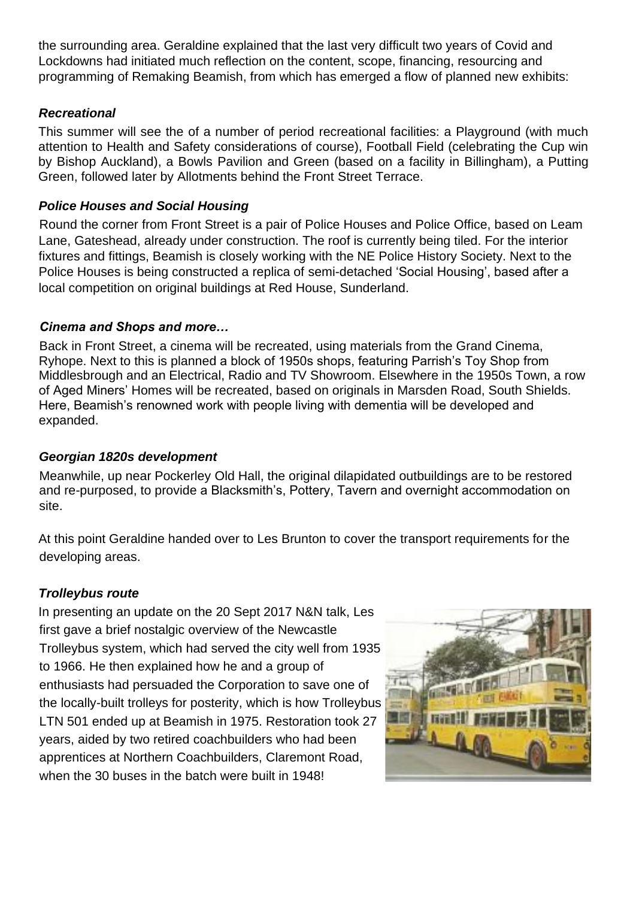the surrounding area. Geraldine explained that the last very difficult two years of Covid and Lockdowns had initiated much reflection on the content, scope, financing, resourcing and programming of Remaking Beamish, from which has emerged a flow of planned new exhibits:

## *Recreational*

This summer will see the of a number of period recreational facilities: a Playground (with much attention to Health and Safety considerations of course), Football Field (celebrating the Cup win by Bishop Auckland), a Bowls Pavilion and Green (based on a facility in Billingham), a Putting Green, followed later by Allotments behind the Front Street Terrace.

### *Police Houses and Social Housing*

Round the corner from Front Street is a pair of Police Houses and Police Office, based on Leam Lane, Gateshead, already under construction. The roof is currently being tiled. For the interior fixtures and fittings, Beamish is closely working with the NE Police History Society. Next to the Police Houses is being constructed a replica of semi-detached 'Social Housing', based after a local competition on original buildings at Red House, Sunderland.

### *Cinema and Shops and more…*

Back in Front Street, a cinema will be recreated, using materials from the Grand Cinema, Ryhope. Next to this is planned a block of 1950s shops, featuring Parrish's Toy Shop from Middlesbrough and an Electrical, Radio and TV Showroom. Elsewhere in the 1950s Town, a row of Aged Miners' Homes will be recreated, based on originals in Marsden Road, South Shields. Here, Beamish's renowned work with people living with dementia will be developed and expanded.

## *Georgian 1820s development*

Meanwhile, up near Pockerley Old Hall, the original dilapidated outbuildings are to be restored and re-purposed, to provide a Blacksmith's, Pottery, Tavern and overnight accommodation on site.

At this point Geraldine handed over to Les Brunton to cover the transport requirements for the developing areas.

# *Trolleybus route*

In presenting an update on the 20 Sept 2017 N&N talk, Les first gave a brief nostalgic overview of the Newcastle Trolleybus system, which had served the city well from 1935 to 1966. He then explained how he and a group of enthusiasts had persuaded the Corporation to save one of the locally-built trolleys for posterity, which is how Trolleybus LTN 501 ended up at Beamish in 1975. Restoration took 27 years, aided by two retired coachbuilders who had been apprentices at Northern Coachbuilders, Claremont Road, when the 30 buses in the batch were built in 1948!